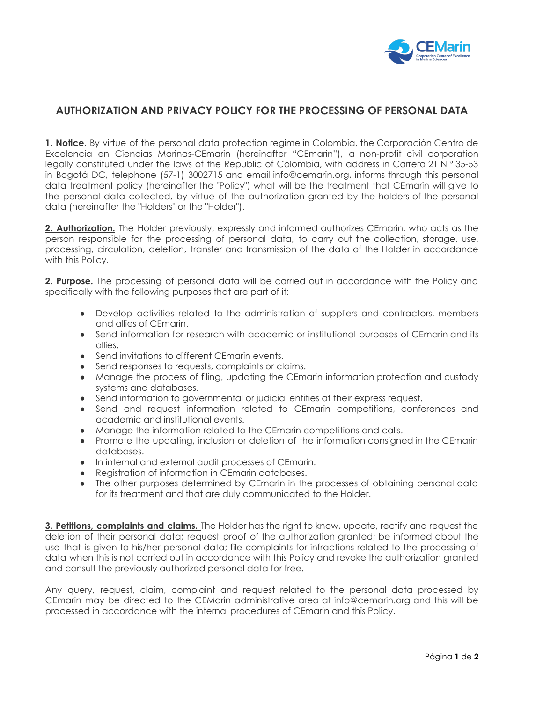

## **AUTHORIZATION AND PRIVACY POLICY FOR THE PROCESSING OF PERSONAL DATA**

**1. Notice.** By virtue of the personal data protection regime in Colombia, the Corporación Centro de Excelencia en Ciencias Marinas-CEmarin (hereinafter "CEmarin"), a non-profit civil corporation legally constituted under the laws of the Republic of Colombia, with address in Carrera 21 N ° 35-53 in Bogotá DC, telephone (57-1) 3002715 and email info@cemarin.org, informs through this personal data treatment policy (hereinafter the "Policy") what will be the treatment that CEmarin will give to the personal data collected, by virtue of the authorization granted by the holders of the personal data (hereinafter the "Holders" or the "Holder").

**2. Authorization.** The Holder previously, expressly and informed authorizes CEmarin, who acts as the person responsible for the processing of personal data, to carry out the collection, storage, use, processing, circulation, deletion, transfer and transmission of the data of the Holder in accordance with this Policy.

**2. Purpose.** The processing of personal data will be carried out in accordance with the Policy and specifically with the following purposes that are part of it:

- Develop activities related to the administration of suppliers and contractors, members and allies of CEmarin.
- Send information for research with academic or institutional purposes of CEmarin and its allies.
- Send invitations to different CEmarin events.
- Send responses to requests, complaints or claims.
- Manage the process of filing, updating the CEmarin information protection and custody systems and databases.
- Send information to governmental or judicial entities at their express request.
- Send and request information related to CEmarin competitions, conferences and academic and institutional events.
- Manage the information related to the CEmarin competitions and calls.
- Promote the updating, inclusion or deletion of the information consigned in the CEmarin databases.
- In internal and external audit processes of CEmarin.
- Registration of information in CEmarin databases.
- The other purposes determined by CEmarin in the processes of obtaining personal data for its treatment and that are duly communicated to the Holder.

**3. Petitions, complaints and claims.** The Holder has the right to know, update, rectify and request the deletion of their personal data; request proof of the authorization granted; be informed about the use that is given to his/her personal data; file complaints for infractions related to the processing of data when this is not carried out in accordance with this Policy and revoke the authorization granted and consult the previously authorized personal data for free.

Any query, request, claim, complaint and request related to the personal data processed by CEmarin may be directed to the CEMarin administrative area at info@cemarin.org and this will be processed in accordance with the internal procedures of CEmarin and this Policy.